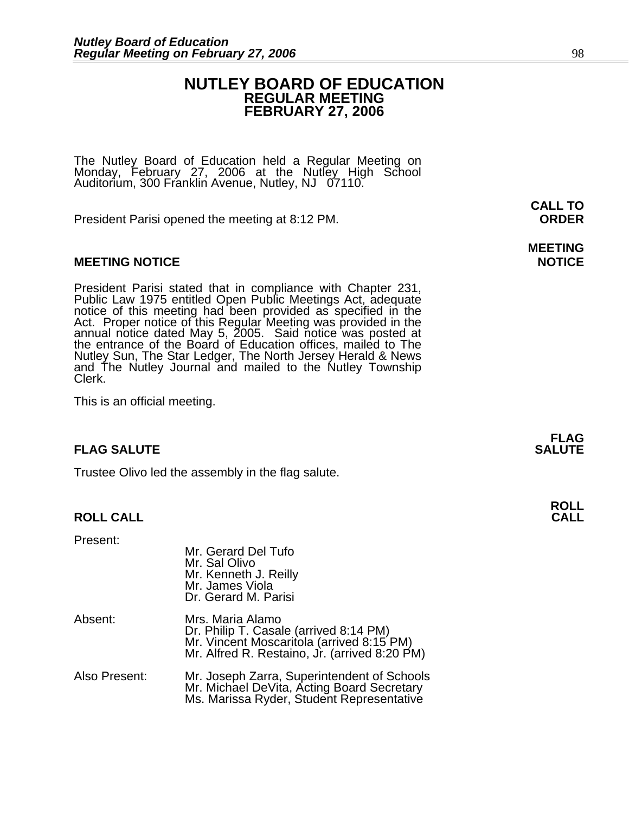### **NUTLEY BOARD OF EDUCATION REGULAR MEETING FEBRUARY 27, 2006**

The Nutley Board of Education held a Regular Meeting on Monday, February 27, 2006 at the Nutley High School Auditorium, 300 Franklin Avenue, Nutley, NJ 07110.

President Parisi opened the meeting at 8:12 PM. **ORDER**

#### **MEETING NOTICE NOTICE AND RESERVE ASSESS**

President Parisi stated that in compliance with Chapter 231, Public Law 1975 entitled Open Public Meetings Act, adequate notice of this meeting had been provided as specified in the Act. Proper notice of this Regular Meeti annual notice dated May 5, 2005. Said notice was posted at the entrance of the Board of Education offices, mailed to The Nutley Sun, The Star Ledger, The North Jersey Herald & News and The Nutley Journal and mailed to the Nutley Township Clerk.

This is an official meeting.

#### **FLAG SALUTE SALUTE SALUTE SALUTE**

Trustee Olivo led the assembly in the flag salute.

#### **ROLL CALL CALL**

Present:

|               | Mr. Gerard Del Tufo<br>Mr. Sal Olivo<br>Mr. Kenneth J. Reilly<br>Mr. James Viola<br>Dr. Gerard M. Parisi                                                 |
|---------------|----------------------------------------------------------------------------------------------------------------------------------------------------------|
| Absent:       | Mrs. Maria Alamo<br>Dr. Philip T. Casale (arrived 8:14 PM)<br>Mr. Vincent Moscaritola (arrived 8:15 PM)<br>Mr. Alfred R. Restaino, Jr. (arrived 8:20 PM) |
| Also Present: | Mr. Joseph Zarra, Superintendent of Schools<br>Mr. Michael DeVita, Acting Board Secretary<br>Ms. Marissa Ryder, Student Representative                   |

**CALL TO** 

**MEETING** 

**FLAG** 

## **ROLL**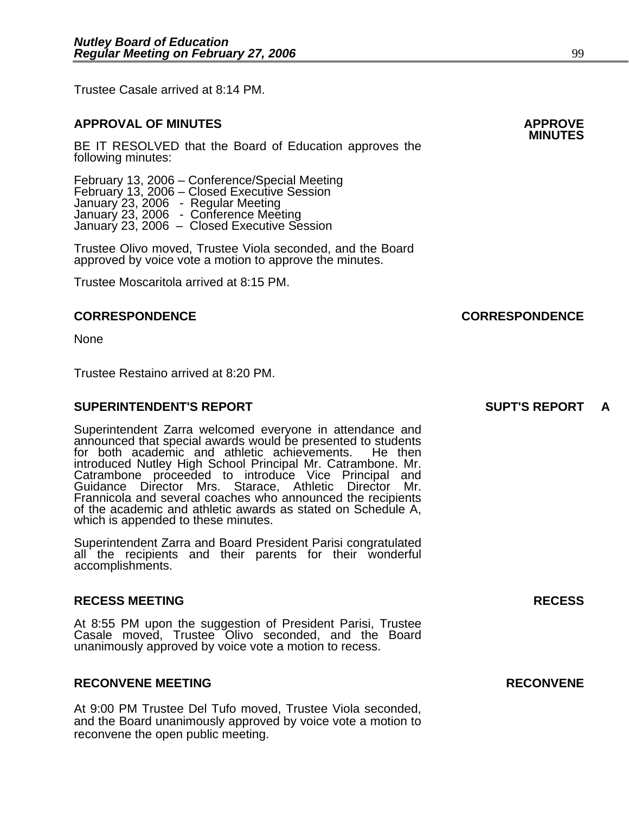Trustee Casale arrived at 8:14 PM.

### **APPROVAL OF MINUTES APPROVE**

BE IT RESOLVED that the Board of Education approves the following minutes:

 February 13, 2006 – Conference/Special Meeting February 13, 2006 – Closed Executive Session January 23, 2006 - Regular Meeting January 23, 2006 - Conference Meeting<br>January 23, 2006 - Closed Executive Session

Trustee Olivo moved, Trustee Viola seconded, and the Board approved by voice vote a motion to approve the minutes.

Trustee Moscaritola arrived at 8:15 PM.

#### **CORRESPONDENCE CORRESPONDENCE**

None

Trustee Restaino arrived at 8:20 PM.

#### **SUPERINTENDENT'S REPORT SUPT'S REPORT A**

Superintendent Zarra welcomed everyone in attendance and announced that special awards would be presented to students for both academic and athletic achievements. He then introduced Nutley High School Principal Mr. Catrambone. Mr. introduced Nutley High School Principal Mr. Catrambone. Mr. Catrambone proceeded to introduce Vice Principal and Guidance Director Mrs. Starace, Athletic Director Mr. Frannicola and several coaches who announced the recipients of the academic and athletic awards as stated on Schedule A, which is appended to these minutes.

Superintendent Zarra and Board President Parisi congratulated all the recipients and their parents for their wonderful accomplishments.

#### **RECESS MEETING RECESS**

At 8:55 PM upon the suggestion of President Parisi, Trustee Casale moved, Trustee Olivo seconded, and the Board unanimously approved by voice vote a motion to recess.

#### **RECONVENE MEETING RECONVENE**

At 9:00 PM Trustee Del Tufo moved, Trustee Viola seconded, and the Board unanimously approved by voice vote a motion to reconvene the open public meeting.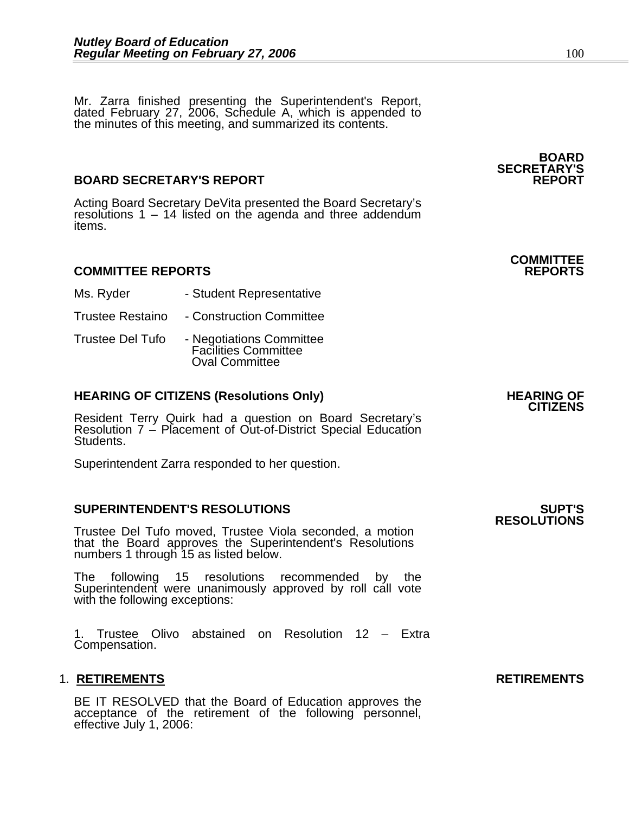Mr. Zarra finished presenting the Superintendent's Report, dated February 27, 2006, Schedule A, which is appended to the minutes of this meeting, and summarized its contents.

#### **BOARD SECRETARY'S REPORT**

Acting Board Secretary DeVita presented the Board Secretary's resolutions 1 – 14 listed on the agenda and three addendum items.

#### **COMMITTEE REPORTS REPORTS**

- Ms. Ryder  **Student Representative**
- Trustee Restaino Construction Committee
- Trustee Del Tufo Negotiations Committee Facilities Committee Oval Committee

### **HEARING OF CITIZENS (Resolutions Only) HEARING OF CITIZENS**

Resident Terry Quirk had a question on Board Secretary's Resolution 7 – Placement of Out-of-District Special Education Students.

Superintendent Zarra responded to her question.

#### **SUPERINTENDENT'S RESOLUTIONS SUPT'S**

Trustee Del Tufo moved, Trustee Viola seconded, a motion that the Board approves the Superintendent's Resolutions numbers 1 through 15 as listed below.

The following 15 resolutions recommended by the Superintendent were unanimously approved by roll call vote with the following exceptions:

1. Trustee Olivo abstained on Resolution 12 – Extra Compensation.

#### 1. RETIREMENTS **RETIREMENTS**

BE IT RESOLVED that the Board of Education approves the acceptance of the retirement of the following personnel, effective July 1, 2006:

**RESOLUTIONS** 

**BOARD SECRETARY'S** 

**COMMITTEE**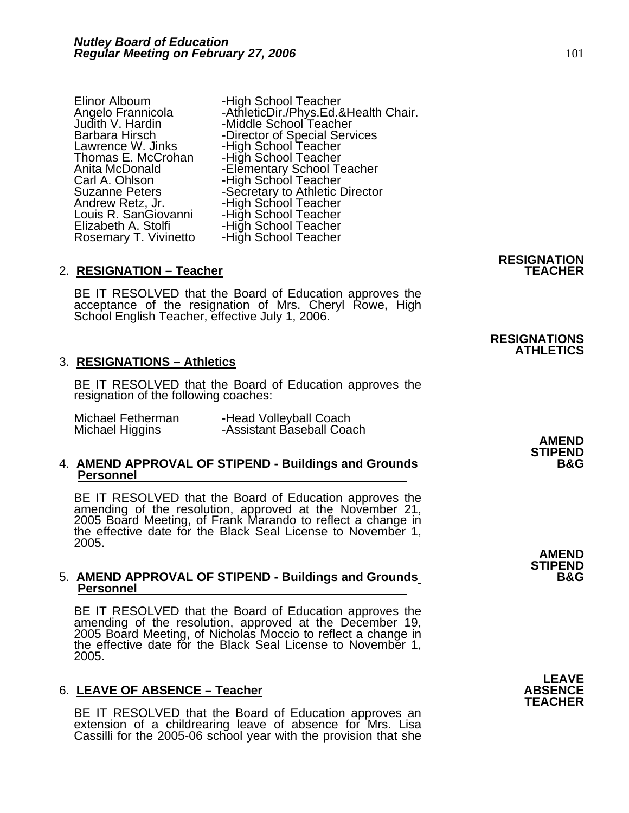Carl A. Ohlson -High School Teacher<br>Suzanne Peters -Secretary to Athletic I Andrew Retz, Jr. - -High School Teacher<br>Louis R. SanGiovanni - -High School Teacher Louis R. SanGiovanni - High School Teacher<br>Elizabeth A. Stolfi - - High School Teacher

Elinor Alboum -High School Teacher<br>Angelo Frannicola --AthleticDir./Phys.Ed.&Health Chair.<br>Judith V. Hardin --Middle School Teacher<br>Barbara Hirsch --Director of Special Services Barbara Hirsch **-Director of Special Services** Lawrence W. Jinks -High School Teacher Thomas E. McCrohan -High School Teacher Lawrence W. Jinks<br>
Thomas E. McCrohan -High School Teacher<br>
Anita McDonald -Elementary School Teacher<br>
Carl A. Ohlson -High School Teacher Suzanne Peters -Secretary to Athletic Director Elizabeth A. Stolfi **-High School Teacher** Rosemary T. Vivinetto -High School Teacher

#### 2. RESIGNATION - Teacher

BE IT RESOLVED that the Board of Education approves the acceptance of the resignation of Mrs. Cheryl Rowe, High School English Teacher, effective July 1, 2006.

#### 3. **RESIGNATIONS – Athletics**

BE IT RESOLVED that the Board of Education approves the resignation of the following coaches:

| Michael Fetherman | -Head Volleyball Coach    |              |
|-------------------|---------------------------|--------------|
| Michael Higgins   | -Assistant Baseball Coach |              |
|                   |                           | <b>AMEND</b> |

### 4. AMEND APPROVAL OF STIPEND - Buildings and Grounds Personnel

BE IT RESOLVED that the Board of Education approves the amending of the resolution, approved at the November 21, 2005 Board Meeting, of Frank Marando to reflect a change in<br>the effective date for the Black Seal License to November 1, 2005.

#### 5. **AMEND APPROVAL OF STIPEND - Buildings and Grounds Personnel**

BE IT RESOLVED that the Board of Education approves the amending of the resolution, approved at the December 19, 2005 Board Meeting, of Nicholas Moccio to reflect a change in the effective date for the Black Seal License to November 1, 2005.

#### 6. LEAVE OF ABSENCE - Teacher

BE IT RESOLVED that the Board of Education approves an extension of a childrearing leave of absence for Mrs. Lisa Cassilli for the 2005-06 school year with the provision that she

### **RESIGNATION**

**RESIGNATIONS ATHLETICS** 

**STIPEND** 

**AMEND STIPEND** 

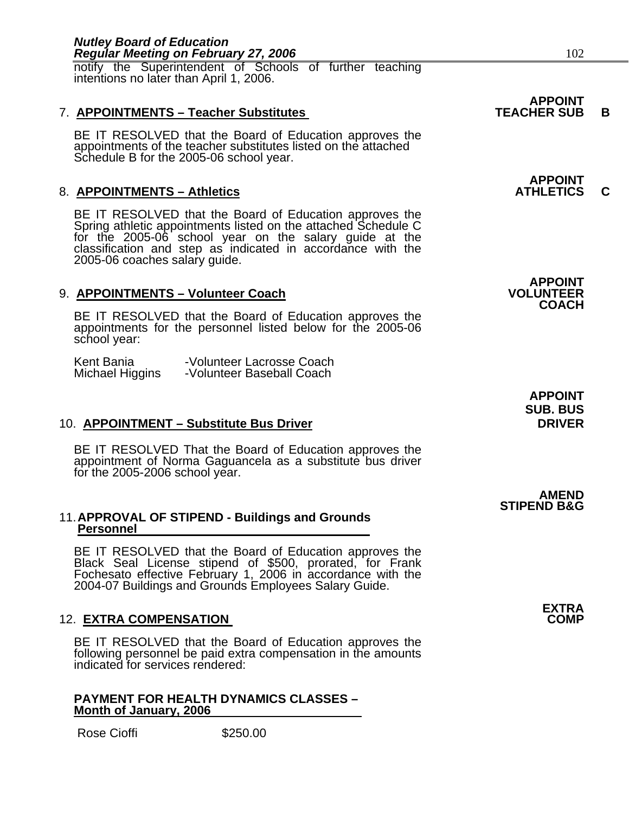| <b>Regular Meeting on February 27, 2006</b>                                                                                                                                                                                                                                      | 102                                                |   |
|----------------------------------------------------------------------------------------------------------------------------------------------------------------------------------------------------------------------------------------------------------------------------------|----------------------------------------------------|---|
| notify the Superintendent of Schools of further teaching<br>intentions no later than April 1, 2006.                                                                                                                                                                              |                                                    |   |
| 7. APPOINTMENTS - Teacher Substitutes                                                                                                                                                                                                                                            | <b>APPOINT</b><br><b>TEACHER SUB</b>               | B |
| BE IT RESOLVED that the Board of Education approves the<br>appointments of the teacher substitutes listed on the attached<br>Schedule B for the 2005-06 school year.                                                                                                             |                                                    |   |
| 8. APPOINTMENTS - Athletics                                                                                                                                                                                                                                                      | <b>APPOINT</b><br><b>ATHLETICS</b>                 | C |
| BE IT RESOLVED that the Board of Education approves the<br>Spring athletic appointments listed on the attached Schedule C<br>for the 2005-06 school year on the salary guide at the classification and step as indicated in accordance with the<br>2005-06 coaches salary guide. |                                                    |   |
| 9. APPOINTMENTS - Volunteer Coach                                                                                                                                                                                                                                                | <b>APPOINT</b><br><b>VOLUNTEER</b>                 |   |
| BE IT RESOLVED that the Board of Education approves the<br>appointments for the personnel listed below for the 2005-06<br>school year:                                                                                                                                           | <b>COACH</b>                                       |   |
| Kent Bania<br>-Volunteer Lacrosse Coach<br>Michael Higgins<br>-Volunteer Baseball Coach                                                                                                                                                                                          |                                                    |   |
| 10. APPOINTMENT – Substitute Bus Driver                                                                                                                                                                                                                                          | <b>APPOINT</b><br><b>SUB. BUS</b><br><b>DRIVER</b> |   |
| BE IT RESOLVED That the Board of Education approves the<br>appointment of Norma Gaguancela as a substitute bus driver<br>for the 2005-2006 school year.                                                                                                                          |                                                    |   |
| 11. APPROVAL OF STIPEND - Buildings and Grounds                                                                                                                                                                                                                                  | <b>AMEND</b><br><b>STIPEND B&amp;G</b>             |   |
| <b>Personnel</b><br>BE IT RESOLVED that the Board of Education approves the<br>Black Seal License stipend of \$500, prorated, for Frank<br>Fochesato effective February 1, 2006 in accordance with the<br>2004-07 Buildings and Grounds Employees Salary Guide.                  |                                                    |   |
| <b>12. EXTRA COMPENSATION</b>                                                                                                                                                                                                                                                    | <b>EXTRA</b><br><b>COMP</b>                        |   |
| BE IT RESOLVED that the Board of Education approves the<br>following personnel be paid extra compensation in the amounts<br>indicated for services rendered:                                                                                                                     |                                                    |   |
| <b>PAYMENT FOR HEALTH DYNAMICS CLASSES -</b><br>Month of January, 2006                                                                                                                                                                                                           |                                                    |   |
| <b>Rose Cioffi</b><br>\$250.00                                                                                                                                                                                                                                                   |                                                    |   |
|                                                                                                                                                                                                                                                                                  |                                                    |   |

*Nutley Board of Education*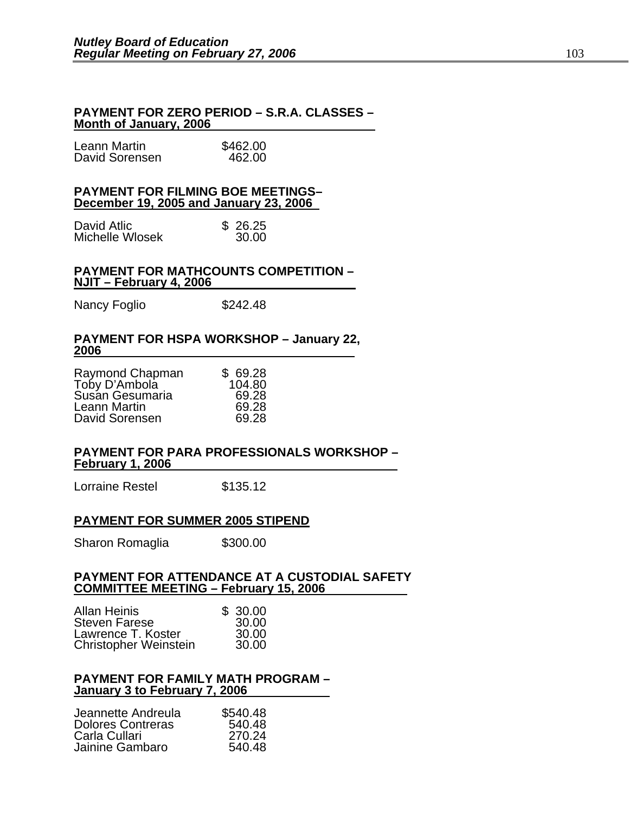#### **PAYMENT FOR ZERO PERIOD – S.R.A. CLASSES – Month of January, 2006**

| Leann Martin   | \$462.00 |
|----------------|----------|
| David Sorensen | 462.00   |

#### **PAYMENT FOR FILMING BOE MEETINGS– December 19, 2005 and January 23, 2006**

| David Atlic     | \$26.25 |
|-----------------|---------|
| Michelle Wlosek | 30.00   |

#### **PAYMENT FOR MATHCOUNTS COMPETITION – NJIT – February 4, 2006**

Nancy Foglio  $$242.48$ 

#### **PAYMENT FOR HSPA WORKSHOP – January 22, 2006**

| Raymond Chapman | \$69.28 |
|-----------------|---------|
| Toby D'Ambola   | 104.80  |
| Susan Gesumaria | 69.28   |
| Leann Martin    | 69.28   |
| David Sorensen  | 69.28   |

#### **PAYMENT FOR PARA PROFESSIONALS WORKSHOP – February 1, 2006**

Lorraine Restel \$135.12

#### **PAYMENT FOR SUMMER 2005 STIPEND**

Sharon Romaglia \$300.00

#### **PAYMENT FOR ATTENDANCE AT A CUSTODIAL SAFETY COMMITTEE MEETING – February 15, 2006**

| <b>Allan Heinis</b>          | \$30.00 |
|------------------------------|---------|
| <b>Steven Farese</b>         | 30.00   |
| Lawrence T. Koster           | 30.00   |
| <b>Christopher Weinstein</b> | 30.00   |

#### **PAYMENT FOR FAMILY MATH PROGRAM – January 3 to February 7, 2006**

| Jeannette Andreula       | \$540.48 |
|--------------------------|----------|
| <b>Dolores Contreras</b> | 540.48   |
| Carla Cullari            | 270.24   |
| Jainine Gambaro          | 540.48   |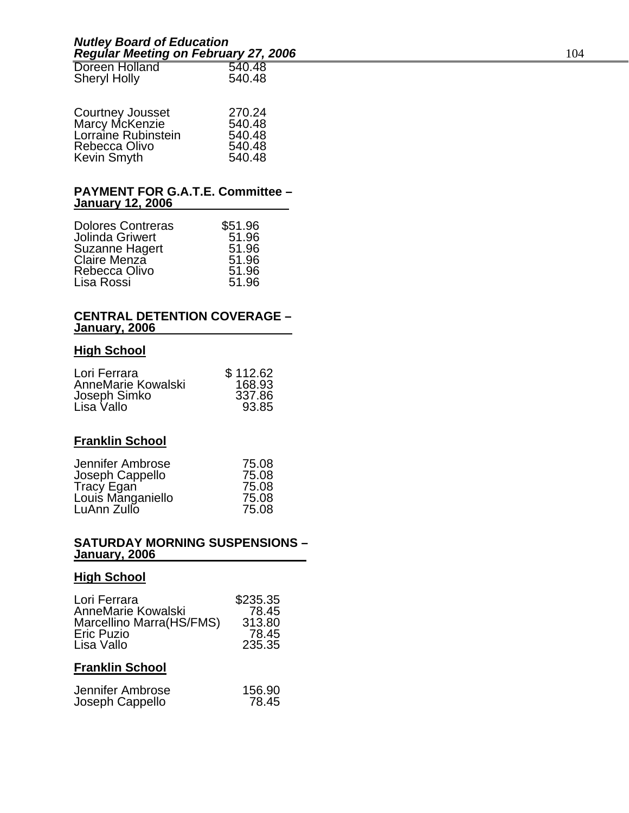| Doreen Holland      | 540.48 |
|---------------------|--------|
| <b>Sheryl Holly</b> | 540.48 |

|                                    | 270.24 |
|------------------------------------|--------|
| Courtney Jousset<br>Marcy McKenzie | 540.48 |
| Lorraine Rubinstein                | 540.48 |
| Rebecca Olivo                      | 540.48 |
| Kevin Smyth                        | 540.48 |

#### **PAYMENT FOR G.A.T.E. Committee – January 12, 2006**

| <b>Dolores Contreras</b> | \$51.96 |
|--------------------------|---------|
| <b>Jolinda Griwert</b>   | 51.96   |
| Suzanne Hagert           | 51.96   |
| Claire Menza             | 51.96   |
| Rebecca Olivo            | 51.96   |
| Lisa Rossi               | 51.96   |

#### **CENTRAL DETENTION COVERAGE – January, 2006**

#### **High School**

| Lori Ferrara       | \$112.62 |
|--------------------|----------|
| AnneMarie Kowalski | 168.93   |
| Joseph Simko       | 337.86   |
| Lisa Vallo         | 93.85    |

### **Franklin School**

| Jennifer Ambrose                | 75.08 |
|---------------------------------|-------|
| Joseph Cappello                 | 75.08 |
| Tracy Egan<br>Louis Manganiello | 75.08 |
|                                 | 75.08 |
| LuAnn Zullo                     | 75.08 |

#### **SATURDAY MORNING SUSPENSIONS – January, 2006**

### **High School**

| Lori Ferrara<br>AnneMarie Kowalski<br>Marcellino Marra(HS/FMS)<br><b>Eric Puzio</b><br>Lisa Vallo | \$235.35<br>78.45<br>313.80<br>78.45<br>235.35 |  |  |  |
|---------------------------------------------------------------------------------------------------|------------------------------------------------|--|--|--|
| <b>Franklin School</b>                                                                            |                                                |  |  |  |
| -lannifar Amhrosa                                                                                 | 156.QN                                         |  |  |  |

| Jennifer Ambrose | 156.90 |
|------------------|--------|
| Joseph Cappello  | 78.45  |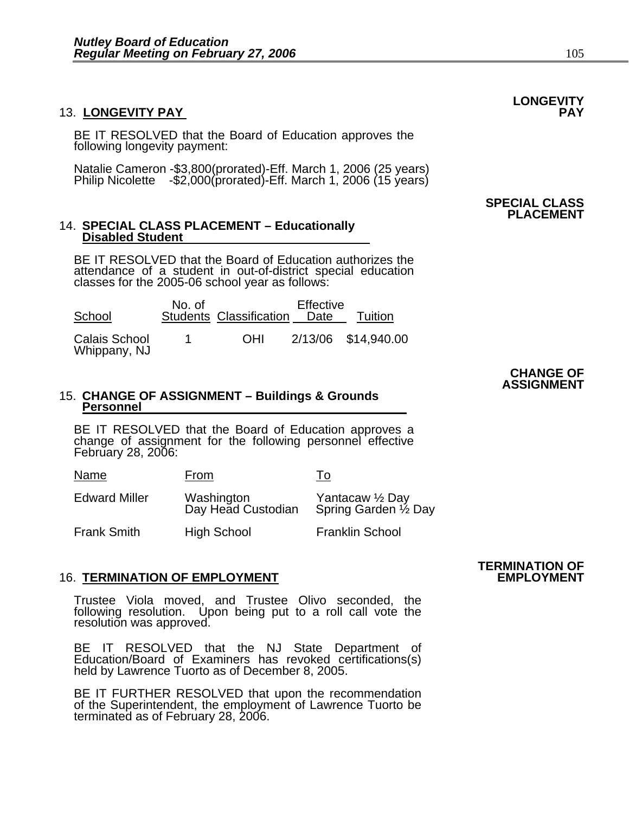#### 13. LONGEVITY PAY

BE IT RESOLVED that the Board of Education approves the following longevity payment:

Natalie Cameron -\$3,800(prorated)-Eff. March 1, 2006 (25 years) Philip Nicolette -\$2,000(prorated)-Eff. March 1, 2006 (15 years)

#### 14. **SPECIAL CLASS PLACEMENT – Educationally Disabled Student**

BE IT RESOLVED that the Board of Education authorizes the attendance of a student in out-of-district special education classes for the 2005-06 school year as follows:

| School                               | No. of | <b>Students Classification</b> | Effective<br>Date | Tuition             |
|--------------------------------------|--------|--------------------------------|-------------------|---------------------|
| <b>Calais School</b><br>Whippany, NJ | 1.     | <b>OHI</b>                     |                   | 2/13/06 \$14,940.00 |

#### 15. **CHANGE OF ASSIGNMENT – Buildings & Grounds Personnel**

BE IT RESOLVED that the Board of Education approves a change of assignment for the following personnel effective February 28, 2006:

| Name                 | From                             | ١o                                    |
|----------------------|----------------------------------|---------------------------------------|
| <b>Edward Miller</b> | Washington<br>Day Head Custodian | Yantacaw ½ Day<br>Spring Garden ½ Day |
| <b>Frank Smith</b>   | High School                      | <b>Franklin School</b>                |

#### **16. TERMINATION OF EMPLOYMENT**

Trustee Viola moved, and Trustee Olivo seconded, the following resolution. Upon being put to a roll call vote the resolution was approved.

BE IT RESOLVED that the NJ State Department of Education/Board of Examiners has revoked certifications(s) held by Lawrence Tuorto as of December 8, 2005.

BE IT FURTHER RESOLVED that upon the recommendation of the Superintendent, the employment of Lawrence Tuorto be terminated as of February 28, 2006.

## **TERMINATION OF**

# **LONGEVITY**

#### **SPECIAL CLASS PLACEMENT**

#### **CHANGE OF ASSIGNMENT**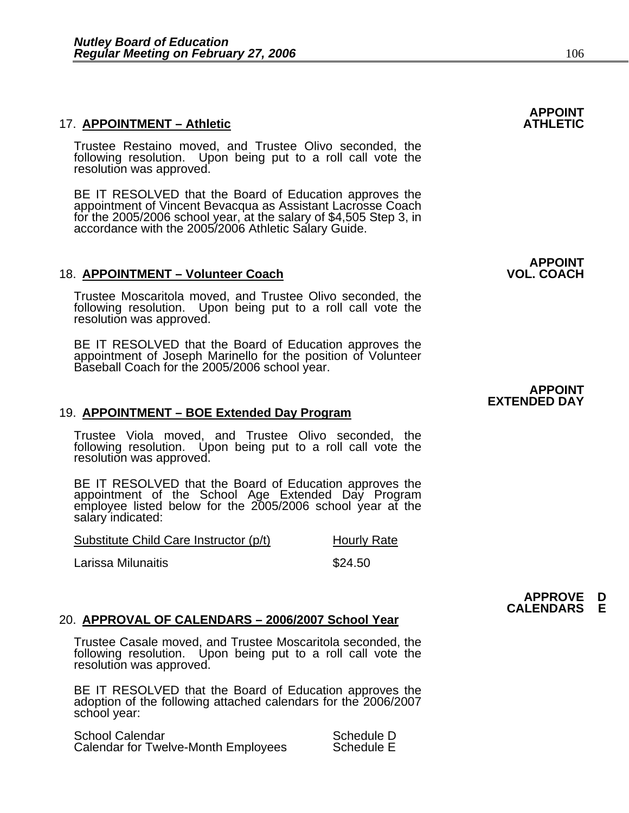#### **17. APPOINTMENT - Athletic**

Trustee Restaino moved, and Trustee Olivo seconded, the following resolution. Upon being put to a roll call vote the resolution was approved.

BE IT RESOLVED that the Board of Education approves the appointment of Vincent Bevacqua as Assistant Lacrosse Coach for the 2005/2006 school year, at the salary of \$4,505 Step 3, in accordance with the 2005/2006 Athletic Salary Guide.

#### 18. APPOINTMENT - Volunteer Coach

Trustee Moscaritola moved, and Trustee Olivo seconded, the following resolution. Upon being put to a roll call vote the resolution was approved.

BE IT RESOLVED that the Board of Education approves the appointment of Joseph Marinello for the position of Volunteer Baseball Coach for the 2005/2006 school year.

#### 19. **APPOINTMENT – BOE Extended Day Program**

Trustee Viola moved, and Trustee Olivo seconded, the following resolution. Upon being put to a roll call vote the resolution was approved.

BE IT RESOLVED that the Board of Education approves the appointment of the School Age Extended Day Program employee listed below for the 2005/2006 school year at the salary indicated:

| Substitute Child Care Instructor (p/t) | <b>Hourly Rate</b> |
|----------------------------------------|--------------------|
| Larissa Milunaitis                     | \$24.50            |

#### 20. **APPROVAL OF CALENDARS – 2006/2007 School Year**

Trustee Casale moved, and Trustee Moscaritola seconded, the following resolution. Upon being put to a roll call vote the resolution was approved.

BE IT RESOLVED that the Board of Education approves the adoption of the following attached calendars for the 2006/2007 school year:

School Calendar Schedule D Calendar for Twelve-Month Employees

## **APPOINT**

### **APPOINT<br>VOL. COACH**

#### **APPOINT EXTENDED DAY**

**APPROVE D CALENDARS E**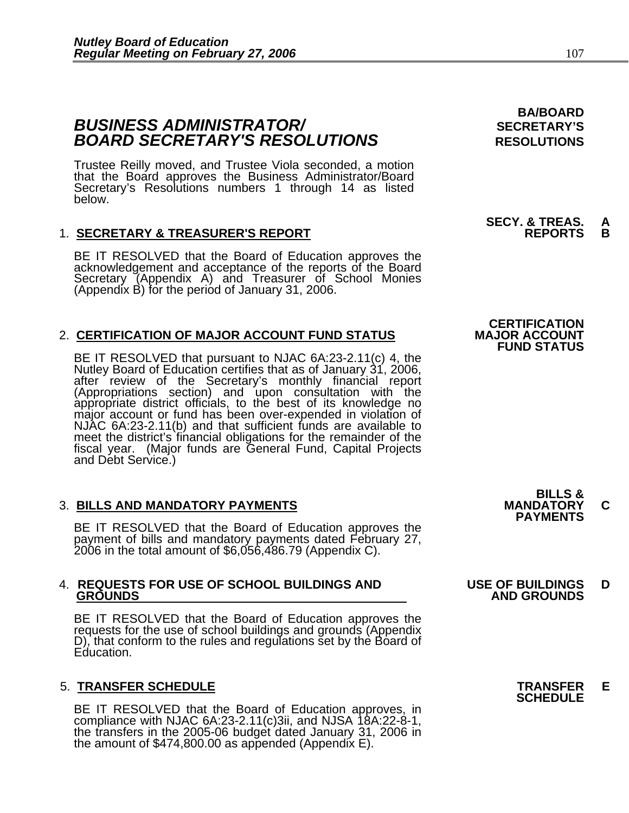### **BUSINESS ADMINISTRATOR/** *BUSINESS ADMINISTRATOR/* **BOARD SECRETARY'S RESOLUTIONS** RESOLUTIONS

Trustee Reilly moved, and Trustee Viola seconded, a motion that the Board approves the Business Administrator/Board Secretary's Resolutions numbers 1 through 14 as listed below.

#### 1. **SECRETARY & TREASURER'S REPORT REPORTS B**

BE IT RESOLVED that the Board of Education approves the acknowledgement and acceptance of the reports of the Board Secretary (Appendix A) and Treasurer of School Monies (Appendix B) for the period of January 31, 2006.

#### 2. **CERTIFICATION OF MAJOR ACCOUNT FUND STATUS**

BE IT RESOLVED that pursuant to NJAC 6A:23-2.11(c) 4, the<br>Nutley Board of Education certifies that as of January 31, 2006,<br>after review of the Secretary's monthly financial report<br>(Appropriations section) and upon consulta meet the district's financial obligations for the remainder of the fiscal year. (Major funds are General Fund, Capital Projects and Debt Service.)

3. BILLS AND MANDATORY PAYMENTS<br>
BE IT RESOLVED that the Board of Education approves the **PAYMENTS** payment of bills and mandatory payments dated February 27, 2006 in the total amount of \$6,056,486.79 (Appendix C).

### 4. **REQUESTS FOR USE OF SCHOOL BUILDINGS AND USE OF BUILDINGS D**

BE IT RESOLVED that the Board of Education approves the requests for the use of school buildings and grounds (Appendix D), that conform to the rules and regulations set by the Board of Education.

### 5. **TRANSFER SCHEDULE TRANSFER E SCHEDULE**

BE IT RESOLVED that the Board of Education approves, in compliance with NJAC 6A:23-2.11(c)3ii, and NJSA 18A:22-8-1, the transfers in the 2005-06 budget dated January 31, 2006 in the amount of \$474,800.00 as appended (Appen

**BA/BOARD** 

# **SECY. & TREAS. A**

### **CERTIFICATION<br>MAJOR ACCOUNT FUND STATUS**

**BILLS &** 

### **GROUNDS AND GROUNDS**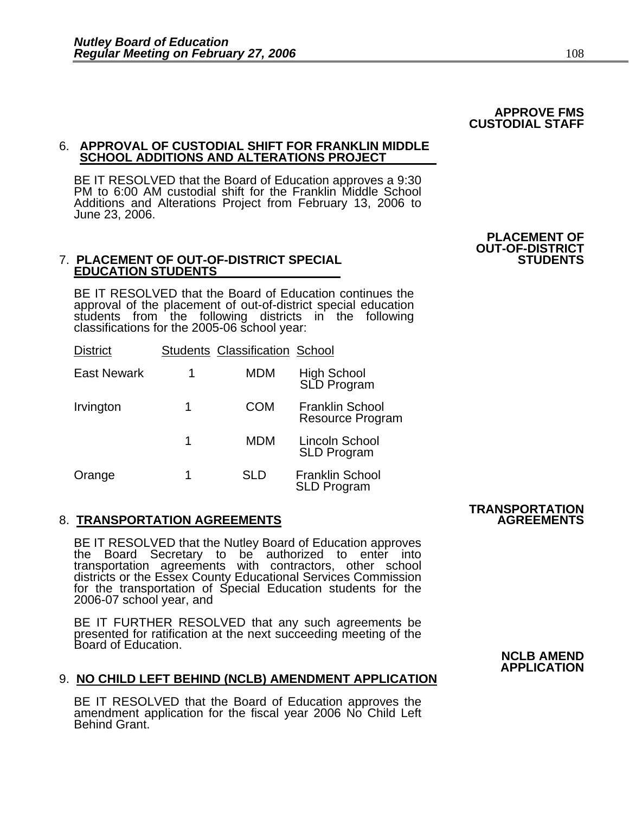## 6. **APPROVAL OF CUSTODIAL SHIFT FOR FRANKLIN MIDDLE SCHOOL ADDITIONS AND ALTERATIONS PROJECT**

BE IT RESOLVED that the Board of Education approves a 9:30 PM to 6:00 AM custodial shift for the Franklin Middle School Additions and Alterations Project from February 13, 2006 to June 23, 2006.

#### **7. PLACEMENT OF OUT-OF-DISTRICT SPECIAL EDUCATION STUDENTS**

BE IT RESOLVED that the Board of Education continues the approval of the placement of out-of-district special education students from the following districts in the following classifications for the 2005-06 school year:

| <b>District</b>    |   | <b>Students Classification School</b> |                                                   |
|--------------------|---|---------------------------------------|---------------------------------------------------|
| <b>East Newark</b> | 1 | <b>MDM</b>                            | High School<br>SLD Program                        |
| Irvington          | 1 | COM                                   | <b>Franklin School</b><br><b>Resource Program</b> |
|                    | 1 | <b>MDM</b>                            | Lincoln School<br><b>SLD Program</b>              |
| Orange             | 1 | SLD                                   | <b>Franklin School</b><br><b>SLD Program</b>      |

### **8. TRANSPORTATION AGREEMENTS**

BE IT RESOLVED that the Nutley Board of Education approves<br>the Board Secretary to be authorized to enter into transportation agreements with contractors, other school districts or the Essex County Educational Services Commission for the transportation of Special Education students for the 2006-07 school year, and

BE IT FURTHER RESOLVED that any such agreements be presented for ratification at the next succeeding meeting of the Board of Education.

### 9. **NO CHILD LEFT BEHIND (NCLB) AMENDMENT APPLICATION**

BE IT RESOLVED that the Board of Education approves the amendment application for the fiscal year 2006 No Child Left Behind Grant.

## **TRANSPORTATION**

#### **APPROVE FMS CUSTODIAL STAFF**

### **PLACEMENT OF OUT-OF-DISTRICT**

#### **NCLB AMEND APPLICATION**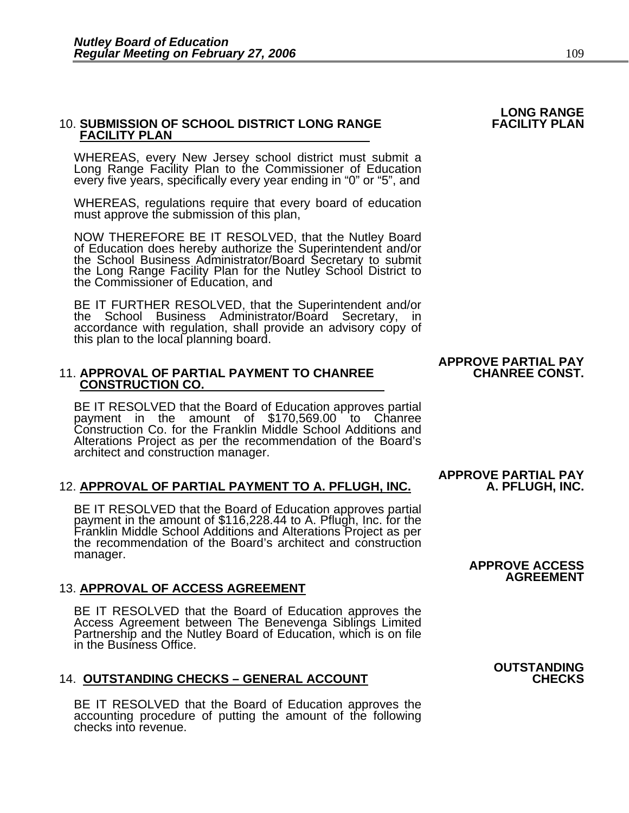## 10. **SUBMISSION OF SCHOOL DISTRICT LONG RANGE FACILITY PLAN FACILITY PLAN**

WHEREAS, every New Jersey school district must submit a Long Range Facility Plan to the Commissioner of Education every five years, specifically every year ending in "0" or "5", and

WHEREAS, regulations require that every board of education must approve the submission of this plan,

NOW THEREFORE BE IT RESOLVED, that the Nutley Board<br>of Education does hereby authorize the Superintendent and/or<br>the School Business Administrator/Board Secretary to submit<br>the Long Range Facility Plan for the Nutley Schoo the Commissioner of Education, and

BE IT FURTHER RESOLVED, that the Superintendent and/or the School Business Administrator/Board Secretary, in accordance with regulation, shall provide an advisory copy of this plan to the local planning board.

## **11. APPROVAL OF PARTIAL PAYMENT TO CHANREE CONSTRUCTION CO.**

BE IT RESOLVED that the Board of Education approves partial payment in the amount of \$170,569.00 to Chanree Construction Co. for the Franklin Middle School Additions and Alterations Project as per the recommendation of the Board's architect and construction manager.

#### 12. **APPROVAL OF PARTIAL PAYMENT TO A. PFLUGH, INC. A. PFLUGH, INC.**

BE IT RESOLVED that the Board of Education approves partial payment in the amount of \$116,228.44 to A. Pflugh, Inc. for the<br>Franklin Middle School Additions and Alterations Project as per<br>the recommendation of the Board's architect and construction manager.

13. **APPROVAL OF ACCESS AGREEMENT**<br>BE IT RESOLVED that the Board of Education approves the<br>Access Agreement between The Benevenga Siblings Limited<br>Partnership and the Nutley Board of Education, which is on file in the Business Office.

#### **14. OUTSTANDING CHECKS - GENERAL ACCOUNT**

BE IT RESOLVED that the Board of Education approves the accounting procedure of putting the amount of the following checks into revenue.

## **APPROVE PARTIAL PAY**

**APPROVE PARTIAL PAY** 

#### **APPROVE ACCESS AGREEMENT**

## **LONG RANGE**

**OUTSTANDING**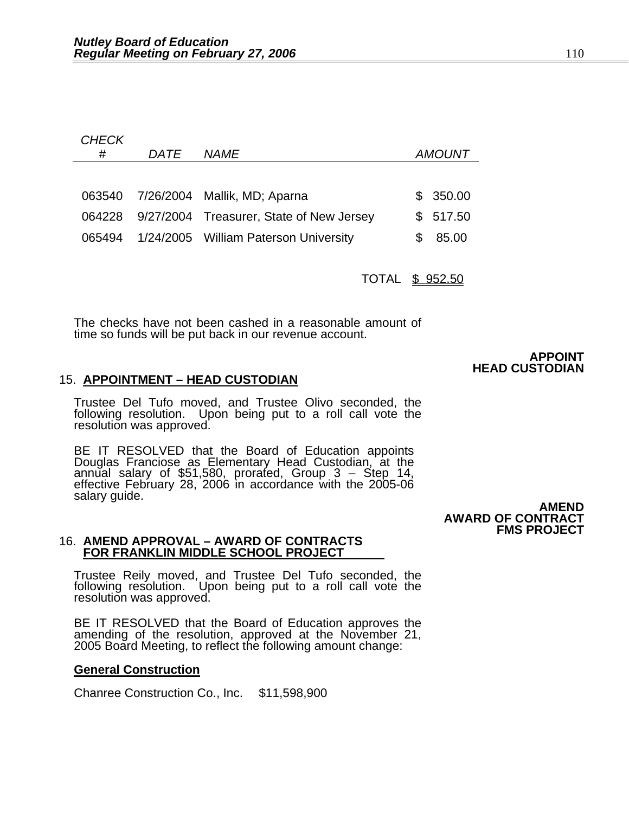| CHECK<br># | DATF | <i>NAME</i>                              | <i>AMOUNT</i> |
|------------|------|------------------------------------------|---------------|
|            |      |                                          |               |
| 063540     |      | 7/26/2004 Mallik, MD; Aparna             | 350.00<br>SS. |
| 064228     |      | 9/27/2004 Treasurer, State of New Jersey | 517.50<br>S.  |
| 065494     |      | 1/24/2005 William Paterson University    | \$<br>85.00   |
|            |      |                                          |               |
|            |      | TOTAL                                    | \$952.50      |

The checks have not been cashed in a reasonable amount of time so funds will be put back in our revenue account.

#### 15. **APPOINTMENT – HEAD CUSTODIAN**

Trustee Del Tufo moved, and Trustee Olivo seconded, the following resolution. Upon being put to a roll call vote the resolution was approved.

BE IT RESOLVED that the Board of Education appoints Douglas Franciose as Elementary Head Custodian, at the annual salary of \$51,580, prorated, Group 3 – Step 14, effective February 28, 2006 in accordance with the 2005-06 salary guide. **AMEND AMEND** 

 **AWARD OF CONTRACT FMS PROJECT** 

**APPOINT HEAD CUSTODIAN** 

## 16. **AMEND APPROVAL – AWARD OF CONTRACTS FOR FRANKLIN MIDDLE SCHOOL PROJECT**

Trustee Reily moved, and Trustee Del Tufo seconded, the following resolution. Upon being put to a roll call vote the resolution was approved.

BE IT RESOLVED that the Board of Education approves the amending of the resolution, approved at the November 21, 2005 Board Meeting, to reflect the following amount change:

#### **General Construction**

Chanree Construction Co., Inc. \$11,598,900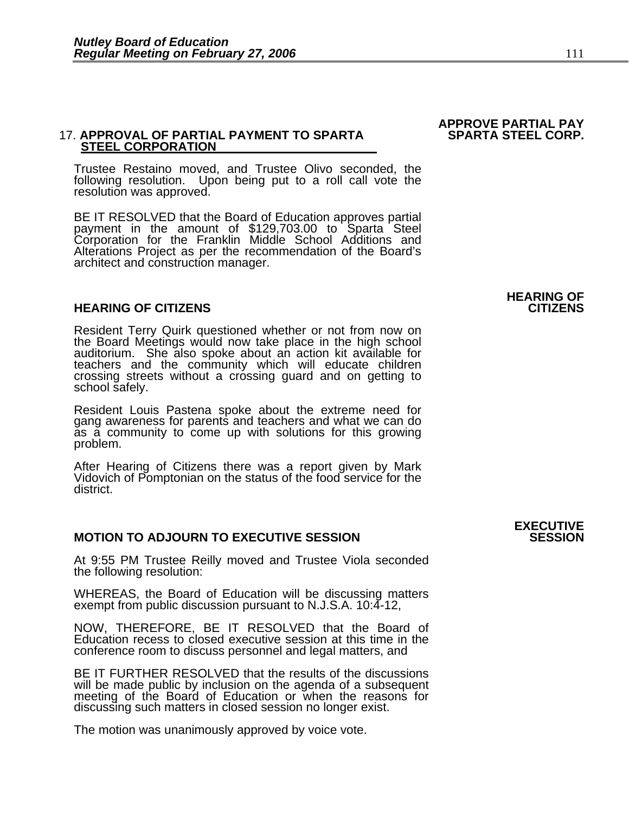## **17. APPROVAL OF PARTIAL PAYMENT TO SPARTA<br>STEEL CORPORATION**

Trustee Restaino moved, and Trustee Olivo seconded, the following resolution. Upon being put to a roll call vote the resolution was approved.

BE IT RESOLVED that the Board of Education approves partial payment in the amount of \$129,703.00 to Sparta Steel<br>Corporation for the Franklin Middle School Additions and Alterations Project as per the recommendation of the Board's architect and construction manager.

#### **HEARING OF CITIZENS CITIZENS**

Resident Terry Quirk questioned whether or not from now on the Board Meetings would now take place in the high school auditorium. She also spoke about an action kit available for teachers and the community which will educate children crossing streets without a crossing guard and on getting to school safely.

Resident Louis Pastena spoke about the extreme need for gang awareness for parents and teachers and what we can do as a community to come up with solutions for this growing problem.

After Hearing of Citizens there was a report given by Mark<br>Vidovich of Pomptonian on the status of the food service for the district.

#### **MOTION TO ADJOURN TO EXECUTIVE SESSION**

At 9:55 PM Trustee Reilly moved and Trustee Viola seconded the following resolution:

WHEREAS, the Board of Education will be discussing matters exempt from public discussion pursuant to N.J.S.A. 10:4-12,

NOW, THEREFORE, BE IT RESOLVED that the Board of Education recess to closed executive session at this time in the conference room to discuss personnel and legal matters, and

BE IT FURTHER RESOLVED that the results of the discussions will be made public by inclusion on the agenda of a subsequent meeting of the Board of Education or when the reasons for discussing such matters in closed session no longer exist.

The motion was unanimously approved by voice vote.

### **APPROVE PARTIAL PAY**

### **HEARING OF**

## **EXECUTIVE**